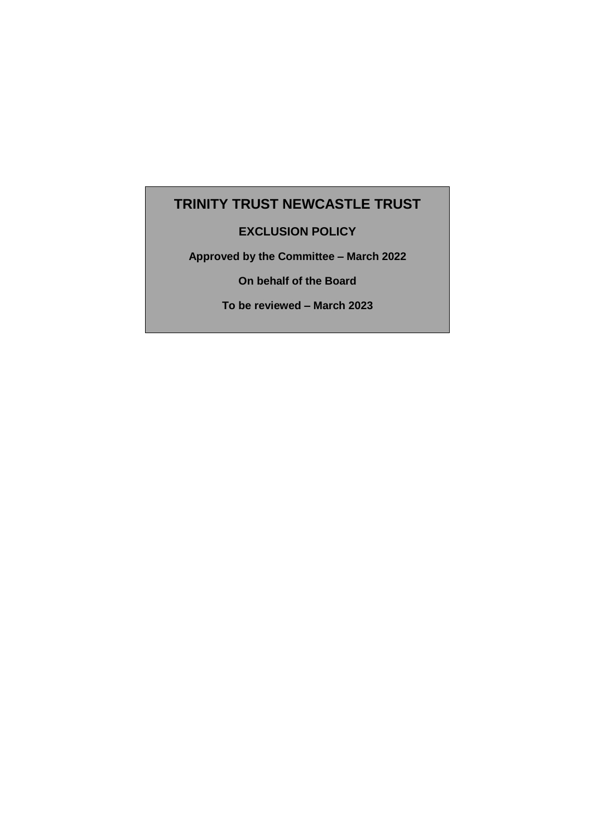# **TRINITY TRUST NEWCASTLE TRUST**

# **EXCLUSION POLICY**

**Approved by the Committee – March 2022**

**On behalf of the Board**

**To be reviewed – March 2023**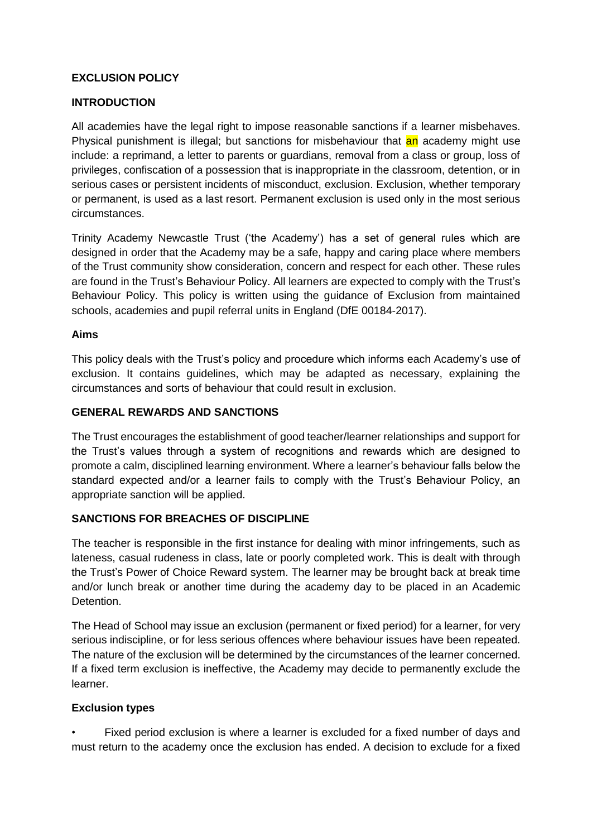# **EXCLUSION POLICY**

#### **INTRODUCTION**

All academies have the legal right to impose reasonable sanctions if a learner misbehaves. Physical punishment is illegal; but sanctions for misbehaviour that an academy might use include: a reprimand, a letter to parents or guardians, removal from a class or group, loss of privileges, confiscation of a possession that is inappropriate in the classroom, detention, or in serious cases or persistent incidents of misconduct, exclusion. Exclusion, whether temporary or permanent, is used as a last resort. Permanent exclusion is used only in the most serious circumstances.

Trinity Academy Newcastle Trust ('the Academy') has a set of general rules which are designed in order that the Academy may be a safe, happy and caring place where members of the Trust community show consideration, concern and respect for each other. These rules are found in the Trust's Behaviour Policy. All learners are expected to comply with the Trust's Behaviour Policy. This policy is written using the guidance of Exclusion from maintained schools, academies and pupil referral units in England (DfE 00184-2017).

#### **Aims**

This policy deals with the Trust's policy and procedure which informs each Academy's use of exclusion. It contains guidelines, which may be adapted as necessary, explaining the circumstances and sorts of behaviour that could result in exclusion.

#### **GENERAL REWARDS AND SANCTIONS**

The Trust encourages the establishment of good teacher/learner relationships and support for the Trust's values through a system of recognitions and rewards which are designed to promote a calm, disciplined learning environment. Where a learner's behaviour falls below the standard expected and/or a learner fails to comply with the Trust's Behaviour Policy, an appropriate sanction will be applied.

#### **SANCTIONS FOR BREACHES OF DISCIPLINE**

The teacher is responsible in the first instance for dealing with minor infringements, such as lateness, casual rudeness in class, late or poorly completed work. This is dealt with through the Trust's Power of Choice Reward system. The learner may be brought back at break time and/or lunch break or another time during the academy day to be placed in an Academic Detention.

The Head of School may issue an exclusion (permanent or fixed period) for a learner, for very serious indiscipline, or for less serious offences where behaviour issues have been repeated. The nature of the exclusion will be determined by the circumstances of the learner concerned. If a fixed term exclusion is ineffective, the Academy may decide to permanently exclude the learner.

#### **Exclusion types**

Fixed period exclusion is where a learner is excluded for a fixed number of days and must return to the academy once the exclusion has ended. A decision to exclude for a fixed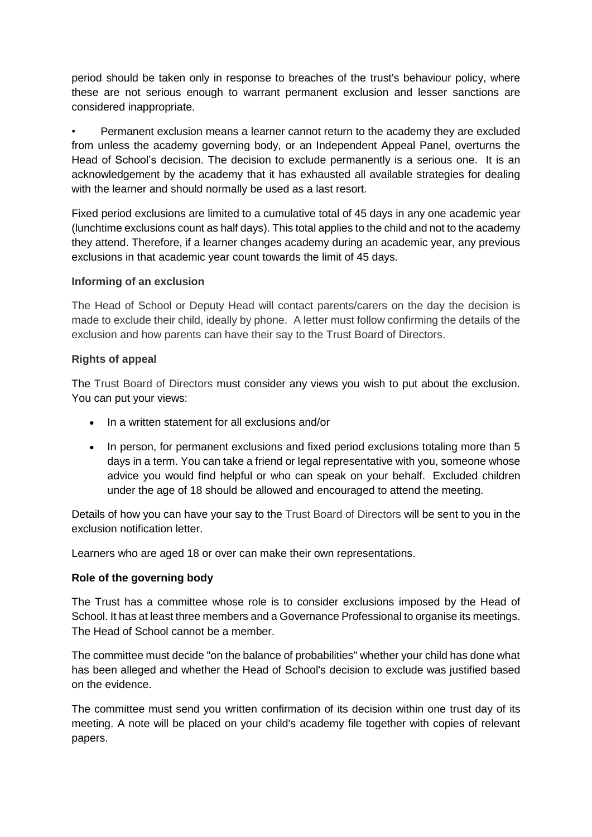period should be taken only in response to breaches of the trust's behaviour policy, where these are not serious enough to warrant permanent exclusion and lesser sanctions are considered inappropriate.

• Permanent exclusion means a learner cannot return to the academy they are excluded from unless the academy governing body, or an Independent Appeal Panel, overturns the Head of School's decision. The decision to exclude permanently is a serious one. It is an acknowledgement by the academy that it has exhausted all available strategies for dealing with the learner and should normally be used as a last resort.

Fixed period exclusions are limited to a cumulative total of 45 days in any one academic year (lunchtime exclusions count as half days). This total applies to the child and not to the academy they attend. Therefore, if a learner changes academy during an academic year, any previous exclusions in that academic year count towards the limit of 45 days.

# **Informing of an exclusion**

The Head of School or Deputy Head will contact parents/carers on the day the decision is made to exclude their child, ideally by phone. A letter must follow confirming the details of the exclusion and how parents can have their say to the Trust Board of Directors.

# **Rights of appeal**

The Trust Board of Directors must consider any views you wish to put about the exclusion. You can put your views:

- In a written statement for all exclusions and/or
- In person, for permanent exclusions and fixed period exclusions totaling more than 5 days in a term. You can take a friend or legal representative with you, someone whose advice you would find helpful or who can speak on your behalf. Excluded children under the age of 18 should be allowed and encouraged to attend the meeting.

Details of how you can have your say to the Trust Board of Directors will be sent to you in the exclusion notification letter.

Learners who are aged 18 or over can make their own representations.

# **Role of the governing body**

The Trust has a committee whose role is to consider exclusions imposed by the Head of School. It has at least three members and a Governance Professional to organise its meetings. The Head of School cannot be a member.

The committee must decide "on the balance of probabilities" whether your child has done what has been alleged and whether the Head of School's decision to exclude was justified based on the evidence.

The committee must send you written confirmation of its decision within one trust day of its meeting. A note will be placed on your child's academy file together with copies of relevant papers.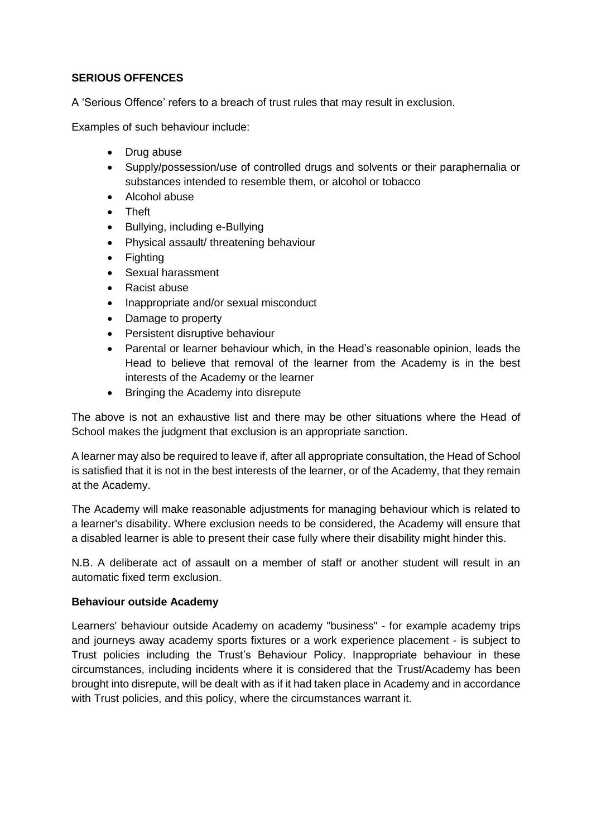# **SERIOUS OFFENCES**

A 'Serious Offence' refers to a breach of trust rules that may result in exclusion.

Examples of such behaviour include:

- Drug abuse
- Supply/possession/use of controlled drugs and solvents or their paraphernalia or substances intended to resemble them, or alcohol or tobacco
- Alcohol abuse
- Theft
- Bullying, including e-Bullying
- Physical assault/ threatening behaviour
- Fighting
- Sexual harassment
- Racist abuse
- Inappropriate and/or sexual misconduct
- Damage to property
- Persistent disruptive behaviour
- Parental or learner behaviour which, in the Head's reasonable opinion, leads the Head to believe that removal of the learner from the Academy is in the best interests of the Academy or the learner
- Bringing the Academy into disrepute

The above is not an exhaustive list and there may be other situations where the Head of School makes the judgment that exclusion is an appropriate sanction.

A learner may also be required to leave if, after all appropriate consultation, the Head of School is satisfied that it is not in the best interests of the learner, or of the Academy, that they remain at the Academy.

The Academy will make reasonable adjustments for managing behaviour which is related to a learner's disability. Where exclusion needs to be considered, the Academy will ensure that a disabled learner is able to present their case fully where their disability might hinder this.

N.B. A deliberate act of assault on a member of staff or another student will result in an automatic fixed term exclusion.

#### **Behaviour outside Academy**

Learners' behaviour outside Academy on academy "business" - for example academy trips and journeys away academy sports fixtures or a work experience placement - is subject to Trust policies including the Trust's Behaviour Policy. Inappropriate behaviour in these circumstances, including incidents where it is considered that the Trust/Academy has been brought into disrepute, will be dealt with as if it had taken place in Academy and in accordance with Trust policies, and this policy, where the circumstances warrant it.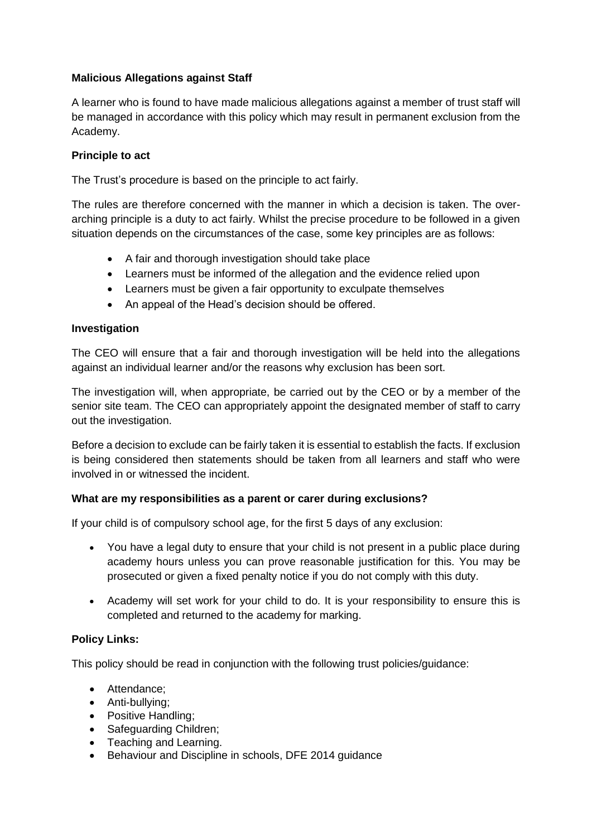# **Malicious Allegations against Staff**

A learner who is found to have made malicious allegations against a member of trust staff will be managed in accordance with this policy which may result in permanent exclusion from the Academy.

# **Principle to act**

The Trust's procedure is based on the principle to act fairly.

The rules are therefore concerned with the manner in which a decision is taken. The overarching principle is a duty to act fairly. Whilst the precise procedure to be followed in a given situation depends on the circumstances of the case, some key principles are as follows:

- A fair and thorough investigation should take place
- Learners must be informed of the allegation and the evidence relied upon
- Learners must be given a fair opportunity to exculpate themselves
- An appeal of the Head's decision should be offered.

# **Investigation**

The CEO will ensure that a fair and thorough investigation will be held into the allegations against an individual learner and/or the reasons why exclusion has been sort.

The investigation will, when appropriate, be carried out by the CEO or by a member of the senior site team. The CEO can appropriately appoint the designated member of staff to carry out the investigation.

Before a decision to exclude can be fairly taken it is essential to establish the facts. If exclusion is being considered then statements should be taken from all learners and staff who were involved in or witnessed the incident.

#### **What are my responsibilities as a parent or carer during exclusions?**

If your child is of compulsory school age, for the first 5 days of any exclusion:

- You have a legal duty to ensure that your child is not present in a public place during academy hours unless you can prove reasonable justification for this. You may be prosecuted or given a fixed penalty notice if you do not comply with this duty.
- Academy will set work for your child to do. It is your responsibility to ensure this is completed and returned to the academy for marking.

# **Policy Links:**

This policy should be read in conjunction with the following trust policies/guidance:

- Attendance;
- Anti-bullying;
- Positive Handling:
- Safeguarding Children;
- Teaching and Learning.
- Behaviour and Discipline in schools, DFE 2014 guidance